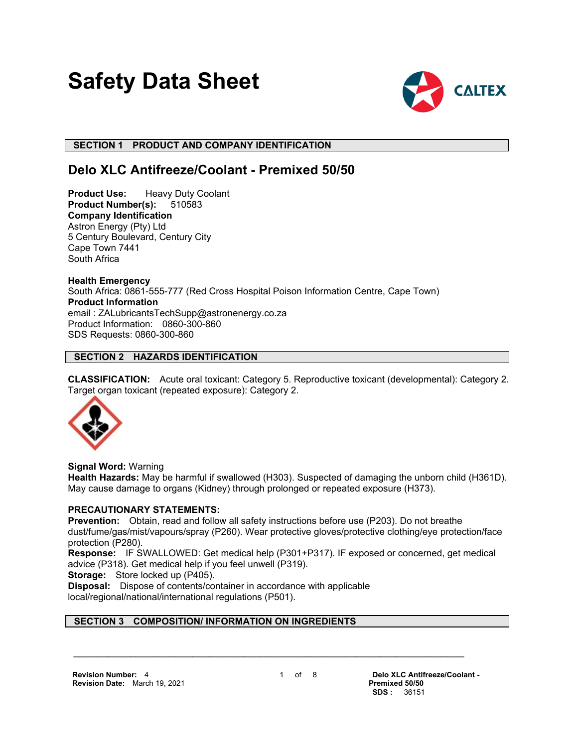# **Safety Data Sheet**



## **SECTION 1 PRODUCT AND COMPANY IDENTIFICATION**

## **Delo XLC Antifreeze/Coolant - Premixed 50/50**

**Product Use:** Heavy Duty Coolant **Product Number(s):** 510583 **Company Identification** Astron Energy (Pty) Ltd 5 Century Boulevard, Century City Cape Town 7441 South Africa

**Health Emergency** South Africa: 0861-555-777 (Red Cross Hospital Poison Information Centre, Cape Town) **Product Information** email : ZALubricantsTechSupp@astronenergy.co.za Product Information: 0860-300-860 SDS Requests: 0860-300-860

## **SECTION 2 HAZARDS IDENTIFICATION**

**CLASSIFICATION:** Acute oral toxicant: Category 5. Reproductive toxicant (developmental): Category 2. Target organ toxicant (repeated exposure): Category 2.



**Signal Word:** Warning

**Health Hazards:** May be harmful if swallowed (H303). Suspected of damaging the unborn child (H361D). May cause damage to organs (Kidney) through prolonged or repeated exposure (H373).

## **PRECAUTIONARY STATEMENTS:**

**Prevention:** Obtain, read and follow all safety instructions before use (P203). Do not breathe dust/fume/gas/mist/vapours/spray (P260). Wear protective gloves/protective clothing/eye protection/face protection (P280).

**Response:** IF SWALLOWED: Get medical help (P301+P317). IF exposed or concerned, get medical advice (P318). Get medical help if you feel unwell (P319).

**Storage:** Store locked up (P405).

**Disposal:** Dispose of contents/container in accordance with applicable local/regional/national/international regulations (P501).

## **SECTION 3 COMPOSITION/ INFORMATION ON INGREDIENTS**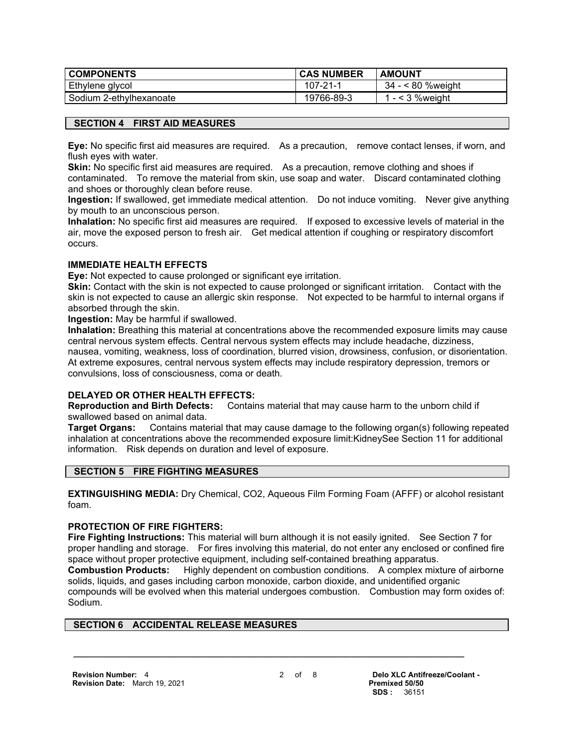| <b>COMPONENTS</b>       | <b>CAS NUMBER</b> | <b>AMOUNT</b>      |
|-------------------------|-------------------|--------------------|
| Ethylene glycol         | $107 - 21 - 1$    | 34 - < 80 %weight  |
| Sodium 2-ethylhexanoate | 19766-89-3        | 1 - $<$ 3 % weight |

## **SECTION 4 FIRST AID MEASURES**

**Eye:** No specific first aid measures are required. As a precaution, remove contact lenses, if worn, and flush eyes with water.

**Skin:** No specific first aid measures are required. As a precaution, remove clothing and shoes if contaminated. To remove the material from skin, use soap and water. Discard contaminated clothing and shoes or thoroughly clean before reuse.

**Ingestion:** If swallowed, get immediate medical attention. Do not induce vomiting. Never give anything by mouth to an unconscious person.

**Inhalation:** No specific first aid measures are required. If exposed to excessive levels of material in the air, move the exposed person to fresh air. Get medical attention if coughing or respiratory discomfort occurs.

## **IMMEDIATE HEALTH EFFECTS**

**Eye:** Not expected to cause prolonged or significant eye irritation.

**Skin:** Contact with the skin is not expected to cause prolonged or significant irritation. Contact with the skin is not expected to cause an allergic skin response. Not expected to be harmful to internal organs if absorbed through the skin.

**Ingestion:** May be harmful if swallowed.

**Inhalation:** Breathing this material at concentrations above the recommended exposure limits may cause central nervous system effects. Central nervous system effects may include headache, dizziness, nausea, vomiting, weakness, loss of coordination, blurred vision, drowsiness, confusion, or disorientation. At extreme exposures, central nervous system effects may include respiratory depression, tremors or convulsions, loss of consciousness, coma or death.

## **DELAYED OR OTHER HEALTH EFFECTS:**

**Reproduction and Birth Defects:** Contains material that may cause harm to the unborn child if swallowed based on animal data.

**Target Organs:** Contains material that may cause damage to the following organ(s) following repeated inhalation at concentrations above the recommended exposure limit:KidneySee Section 11 for additional information. Risk depends on duration and level of exposure.

## **SECTION 5 FIRE FIGHTING MEASURES**

**EXTINGUISHING MEDIA:** Dry Chemical, CO2, Aqueous Film Forming Foam (AFFF) or alcohol resistant foam.

## **PROTECTION OF FIRE FIGHTERS:**

**Fire Fighting Instructions:** This material will burn although it is not easily ignited. See Section 7 for proper handling and storage. For fires involving this material, do not enter any enclosed or confined fire space without proper protective equipment, including self-contained breathing apparatus.

**Combustion Products:** Highly dependent on combustion conditions. A complex mixture of airborne solids, liquids, and gases including carbon monoxide, carbon dioxide, and unidentified organic compounds will be evolved when this material undergoes combustion. Combustion may form oxides of: Sodium.

 **\_\_\_\_\_\_\_\_\_\_\_\_\_\_\_\_\_\_\_\_\_\_\_\_\_\_\_\_\_\_\_\_\_\_\_\_\_\_\_\_\_\_\_\_\_\_\_\_\_\_\_\_\_\_\_\_\_\_\_\_\_\_\_\_\_\_\_\_\_**

## **SECTION 6 ACCIDENTAL RELEASE MEASURES**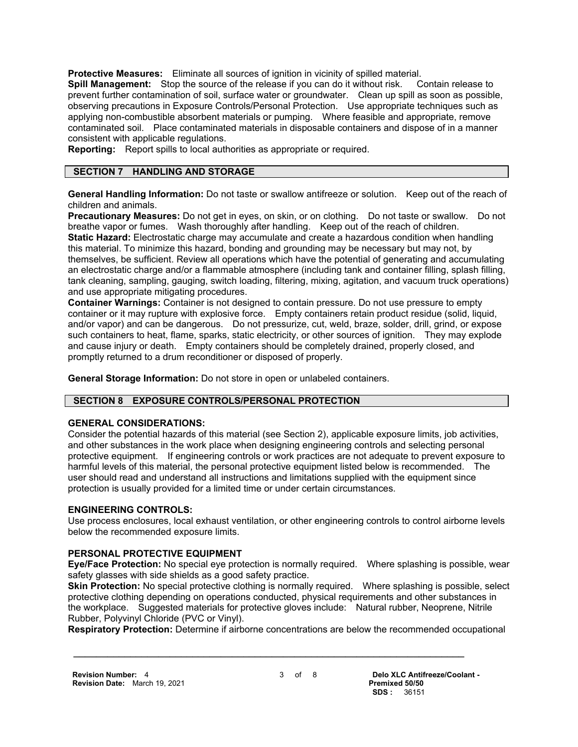**Protective Measures:** Eliminate all sources of ignition in vicinity of spilled material.

**Spill Management:** Stop the source of the release if you can do it without risk. Contain release to prevent further contamination of soil, surface water or groundwater. Clean up spill as soon as possible, observing precautions in Exposure Controls/Personal Protection. Use appropriate techniques such as applying non-combustible absorbent materials or pumping. Where feasible and appropriate, remove contaminated soil. Place contaminated materials in disposable containers and dispose of in a manner consistent with applicable regulations.

**Reporting:** Report spills to local authorities as appropriate or required.

## **SECTION 7 HANDLING AND STORAGE**

**General Handling Information:** Do not taste or swallow antifreeze or solution. Keep out of the reach of children and animals.

**Precautionary Measures:** Do not get in eyes, on skin, or on clothing. Do not taste or swallow. Do not breathe vapor or fumes. Wash thoroughly after handling. Keep out of the reach of children.

**Static Hazard:** Electrostatic charge may accumulate and create a hazardous condition when handling this material. To minimize this hazard, bonding and grounding may be necessary but may not, by themselves, be sufficient. Review all operations which have the potential of generating and accumulating an electrostatic charge and/or a flammable atmosphere (including tank and container filling, splash filling, tank cleaning, sampling, gauging, switch loading, filtering, mixing, agitation, and vacuum truck operations) and use appropriate mitigating procedures.

**Container Warnings:** Container is not designed to contain pressure. Do not use pressure to empty container or it may rupture with explosive force. Empty containers retain product residue (solid, liquid, and/or vapor) and can be dangerous. Do not pressurize, cut, weld, braze, solder, drill, grind, or expose such containers to heat, flame, sparks, static electricity, or other sources of ignition. They may explode and cause injury or death. Empty containers should be completely drained, properly closed, and promptly returned to a drum reconditioner or disposed of properly.

**General Storage Information:** Do not store in open or unlabeled containers.

## **SECTION 8 EXPOSURE CONTROLS/PERSONAL PROTECTION**

## **GENERAL CONSIDERATIONS:**

Consider the potential hazards of this material (see Section 2), applicable exposure limits, job activities, and other substances in the work place when designing engineering controls and selecting personal protective equipment. If engineering controls or work practices are not adequate to prevent exposure to harmful levels of this material, the personal protective equipment listed below is recommended. The user should read and understand all instructions and limitations supplied with the equipment since protection is usually provided for a limited time or under certain circumstances.

## **ENGINEERING CONTROLS:**

Use process enclosures, local exhaust ventilation, or other engineering controls to control airborne levels below the recommended exposure limits.

## **PERSONAL PROTECTIVE EQUIPMENT**

**Eye/Face Protection:** No special eye protection is normally required. Where splashing is possible, wear safety glasses with side shields as a good safety practice.

**Skin Protection:** No special protective clothing is normally required. Where splashing is possible, select protective clothing depending on operations conducted, physical requirements and other substances in the workplace. Suggested materials for protective gloves include: Natural rubber, Neoprene, Nitrile Rubber, Polyvinyl Chloride (PVC or Vinyl).

**Respiratory Protection:** Determine if airborne concentrations are below the recommended occupational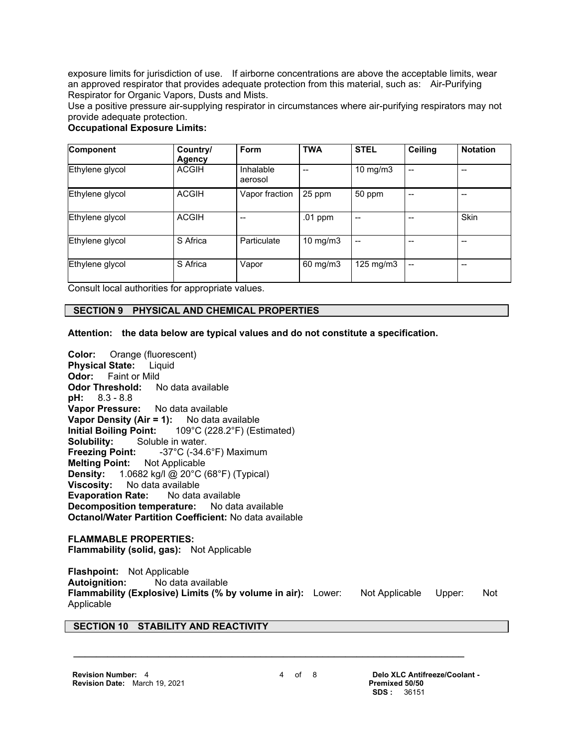exposure limits for jurisdiction of use. If airborne concentrations are above the acceptable limits, wear an approved respirator that provides adequate protection from this material, such as: Air-Purifying Respirator for Organic Vapors, Dusts and Mists.

Use a positive pressure air-supplying respirator in circumstances where air-purifying respirators may not provide adequate protection.

## **Occupational Exposure Limits:**

| Component       | Country/<br>Agency | Form                 | <b>TWA</b>        | <b>STEL</b>        | <b>Ceiling</b> | <b>Notation</b> |
|-----------------|--------------------|----------------------|-------------------|--------------------|----------------|-----------------|
| Ethylene glycol | <b>ACGIH</b>       | Inhalable<br>aerosol |                   | 10 mg/m $3$        |                | --              |
| Ethylene glycol | <b>ACGIH</b>       | Vapor fraction       | 25 ppm            | 50 ppm             |                |                 |
| Ethylene glycol | <b>ACGIH</b>       |                      | .01 ppm           |                    |                | <b>Skin</b>     |
| Ethylene glycol | S Africa           | Particulate          | 10 mg/m $3$       |                    |                | --              |
| Ethylene glycol | S Africa           | Vapor                | $60 \text{ mg/m}$ | $125 \text{ mg/m}$ | --             | $-$             |

Consult local authorities for appropriate values.

## **SECTION 9 PHYSICAL AND CHEMICAL PROPERTIES**

**Attention: the data below are typical values and do not constitute a specification.**

**Color:** Orange (fluorescent) **Physical State:** Liquid **Odor:** Faint or Mild **Odor Threshold:** No data available **pH:** 8.3 - 8.8 **Vapor Pressure:** No data available **Vapor Density (Air = 1):** No data available **Initial Boiling Point:** 109°C (228.2°F) (Estimated) **Solubility:** Soluble in water. **Freezing Point:** -37°C (-34.6°F) Maximum **Melting Point:** Not Applicable **Density:** 1.0682 kg/l @ 20°C (68°F) (Typical) **Viscosity:** No data available **Evaporation Rate:** No data available **Decomposition temperature:** No data available **Octanol/Water Partition Coefficient:** No data available

## **FLAMMABLE PROPERTIES:**

**Flammability (solid, gas):** Not Applicable

**Flashpoint:** Not Applicable **Autoignition:** No data available **Flammability (Explosive) Limits (% by volume in air):** Lower: Not Applicable Upper: Not Applicable

 **\_\_\_\_\_\_\_\_\_\_\_\_\_\_\_\_\_\_\_\_\_\_\_\_\_\_\_\_\_\_\_\_\_\_\_\_\_\_\_\_\_\_\_\_\_\_\_\_\_\_\_\_\_\_\_\_\_\_\_\_\_\_\_\_\_\_\_\_\_**

## **SECTION 10 STABILITY AND REACTIVITY**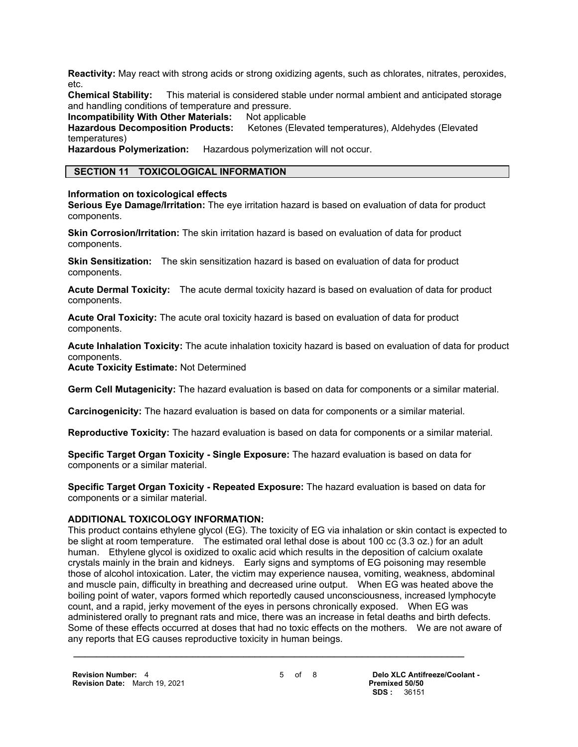**Reactivity:** May react with strong acids or strong oxidizing agents, such as chlorates, nitrates, peroxides, etc.

**Chemical Stability:** This material is considered stable under normal ambient and anticipated storage and handling conditions of temperature and pressure.

**Incompatibility With Other Materials: Not applicable** 

**Hazardous Decomposition Products:** Ketones (Elevated temperatures), Aldehydes (Elevated temperatures)

**Hazardous Polymerization:** Hazardous polymerization will not occur.

## **SECTION 11 TOXICOLOGICAL INFORMATION**

**Information on toxicological effects**

**Serious Eye Damage/Irritation:** The eye irritation hazard is based on evaluation of data for product components.

**Skin Corrosion/Irritation:** The skin irritation hazard is based on evaluation of data for product components.

**Skin Sensitization:** The skin sensitization hazard is based on evaluation of data for product components.

**Acute Dermal Toxicity:** The acute dermal toxicity hazard is based on evaluation of data for product components.

**Acute Oral Toxicity:** The acute oral toxicity hazard is based on evaluation of data for product components.

**Acute Inhalation Toxicity:** The acute inhalation toxicity hazard is based on evaluation of data for product components.

**Acute Toxicity Estimate:** Not Determined

**Germ Cell Mutagenicity:** The hazard evaluation is based on data for components or a similar material.

**Carcinogenicity:** The hazard evaluation is based on data for components or a similar material.

**Reproductive Toxicity:** The hazard evaluation is based on data for components or a similar material.

**Specific Target Organ Toxicity - Single Exposure:** The hazard evaluation is based on data for components or a similar material.

**Specific Target Organ Toxicity - Repeated Exposure:** The hazard evaluation is based on data for components or a similar material.

## **ADDITIONAL TOXICOLOGY INFORMATION:**

This product contains ethylene glycol (EG). The toxicity of EG via inhalation or skin contact is expected to be slight at room temperature. The estimated oral lethal dose is about 100 cc (3.3 oz.) for an adult human. Ethylene glycol is oxidized to oxalic acid which results in the deposition of calcium oxalate crystals mainly in the brain and kidneys. Early signs and symptoms of EG poisoning may resemble those of alcohol intoxication. Later, the victim may experience nausea, vomiting, weakness, abdominal and muscle pain, difficulty in breathing and decreased urine output. When EG was heated above the boiling point of water, vapors formed which reportedly caused unconsciousness, increased lymphocyte count, and a rapid, jerky movement of the eyes in persons chronically exposed. When EG was administered orally to pregnant rats and mice, there was an increase in fetal deaths and birth defects. Some of these effects occurred at doses that had no toxic effects on the mothers. We are not aware of any reports that EG causes reproductive toxicity in human beings.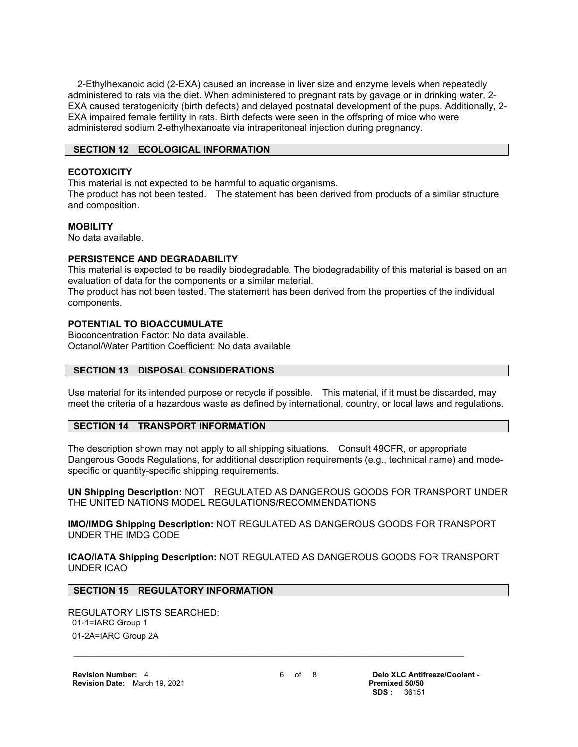2-Ethylhexanoic acid (2-EXA) caused an increase in liver size and enzyme levels when repeatedly administered to rats via the diet. When administered to pregnant rats by gavage or in drinking water, 2- EXA caused teratogenicity (birth defects) and delayed postnatal development of the pups. Additionally, 2- EXA impaired female fertility in rats. Birth defects were seen in the offspring of mice who were administered sodium 2-ethylhexanoate via intraperitoneal injection during pregnancy.

## **SECTION 12 ECOLOGICAL INFORMATION**

## **ECOTOXICITY**

This material is not expected to be harmful to aquatic organisms.

The product has not been tested. The statement has been derived from products of a similar structure and composition.

## **MOBILITY**

No data available.

## **PERSISTENCE AND DEGRADABILITY**

This material is expected to be readily biodegradable. The biodegradability of this material is based on an evaluation of data for the components or a similar material.

The product has not been tested. The statement has been derived from the properties of the individual components.

## **POTENTIAL TO BIOACCUMULATE**

Bioconcentration Factor: No data available. Octanol/Water Partition Coefficient: No data available

## **SECTION 13 DISPOSAL CONSIDERATIONS**

Use material for its intended purpose or recycle if possible. This material, if it must be discarded, may meet the criteria of a hazardous waste as defined by international, country, or local laws and regulations.

## **SECTION 14 TRANSPORT INFORMATION**

The description shown may not apply to all shipping situations. Consult 49CFR, or appropriate Dangerous Goods Regulations, for additional description requirements (e.g., technical name) and modespecific or quantity-specific shipping requirements.

**UN Shipping Description:** NOT REGULATED AS DANGEROUS GOODS FOR TRANSPORT UNDER THE UNITED NATIONS MODEL REGULATIONS/RECOMMENDATIONS

**IMO/IMDG Shipping Description:** NOT REGULATED AS DANGEROUS GOODS FOR TRANSPORT UNDER THE IMDG CODE

**ICAO/IATA Shipping Description:** NOT REGULATED AS DANGEROUS GOODS FOR TRANSPORT UNDER ICAO

## **SECTION 15 REGULATORY INFORMATION**

REGULATORY LISTS SEARCHED: 01-1=IARC Group 1 01-2A=IARC Group 2A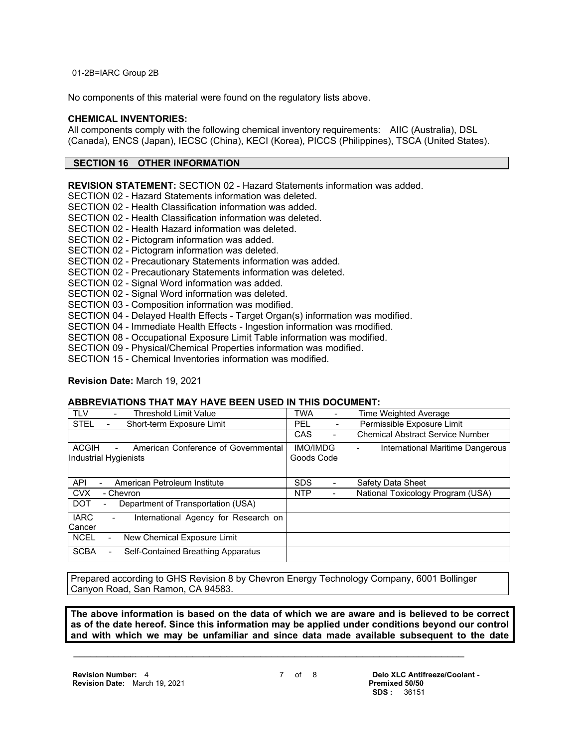01-2B=IARC Group 2B

No components of this material were found on the regulatory lists above.

## **CHEMICAL INVENTORIES:**

All components comply with the following chemical inventory requirements: AIIC (Australia), DSL (Canada), ENCS (Japan), IECSC (China), KECI (Korea), PICCS (Philippines), TSCA (United States).

## **SECTION 16 OTHER INFORMATION**

**REVISION STATEMENT:** SECTION 02 - Hazard Statements information was added.

SECTION 02 - Hazard Statements information was deleted.

SECTION 02 - Health Classification information was added.

- SECTION 02 Health Classification information was deleted.
- SECTION 02 Health Hazard information was deleted.
- SECTION 02 Pictogram information was added.

SECTION 02 - Pictogram information was deleted.

- SECTION 02 Precautionary Statements information was added.
- SECTION 02 Precautionary Statements information was deleted.
- SECTION 02 Signal Word information was added.

SECTION 02 - Signal Word information was deleted.

- SECTION 03 Composition information was modified.
- SECTION 04 Delayed Health Effects Target Organ(s) information was modified.
- SECTION 04 Immediate Health Effects Ingestion information was modified.
- SECTION 08 Occupational Exposure Limit Table information was modified.

SECTION 09 - Physical/Chemical Properties information was modified.

SECTION 15 - Chemical Inventories information was modified.

## **Revision Date:** March 19, 2021

## **ABBREVIATIONS THAT MAY HAVE BEEN USED IN THIS DOCUMENT:**

| <b>TLV</b><br><b>Threshold Limit Value</b>                                   | TWA                           | Time Weighted Average                   |
|------------------------------------------------------------------------------|-------------------------------|-----------------------------------------|
| <b>STEL</b><br>Short-term Exposure Limit                                     | PEL<br>-                      | Permissible Exposure Limit              |
|                                                                              | CAS<br>$\overline{a}$         | <b>Chemical Abstract Service Number</b> |
| <b>ACGIH</b><br>American Conference of Governmental<br>Industrial Hygienists | <b>IMO/IMDG</b><br>Goods Code | International Maritime Dangerous        |
| API<br>American Petroleum Institute                                          | <b>SDS</b>                    | Safety Data Sheet                       |
| <b>CVX</b><br>- Chevron                                                      | <b>NTP</b>                    | National Toxicology Program (USA)       |
| <b>DOT</b><br>Department of Transportation (USA)<br>$\overline{\phantom{a}}$ |                               |                                         |
| <b>IARC</b><br>International Agency for Research on<br>Cancer                |                               |                                         |
| <b>NCEL</b><br>New Chemical Exposure Limit                                   |                               |                                         |
| <b>SCBA</b><br>Self-Contained Breathing Apparatus                            |                               |                                         |

Prepared according to GHS Revision 8 by Chevron Energy Technology Company, 6001 Bollinger Canyon Road, San Ramon, CA 94583.

 **\_\_\_\_\_\_\_\_\_\_\_\_\_\_\_\_\_\_\_\_\_\_\_\_\_\_\_\_\_\_\_\_\_\_\_\_\_\_\_\_\_\_\_\_\_\_\_\_\_\_\_\_\_\_\_\_\_\_\_\_\_\_\_\_\_\_\_\_\_**

**The above information is based on the data of which we are aware and is believed to be correct as of the date hereof. Since this information may be applied under conditions beyond our control and with which we may be unfamiliar and since data made available subsequent to the date**